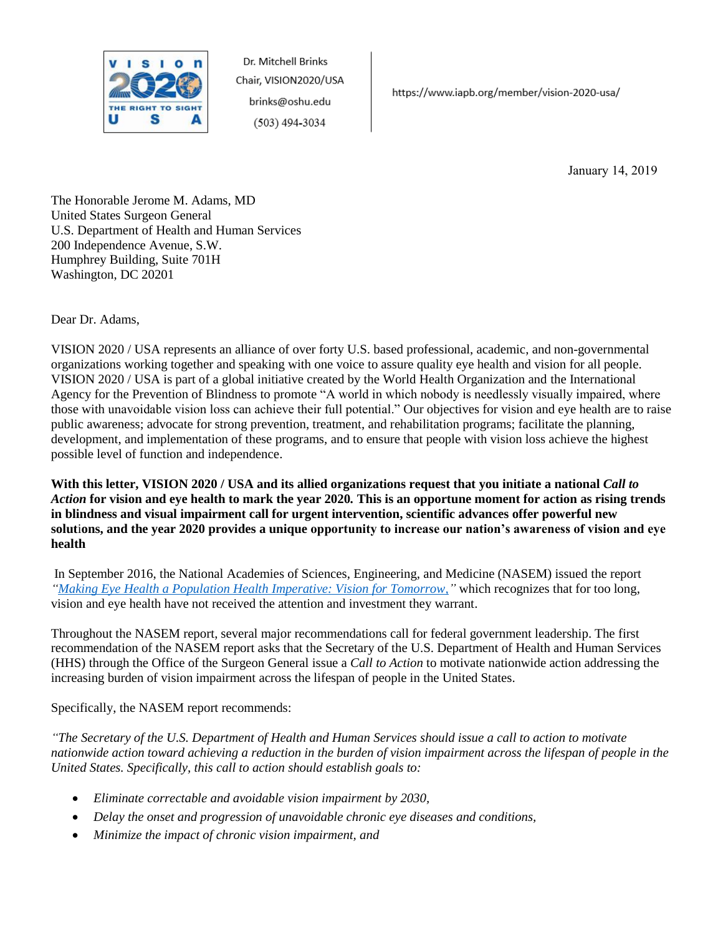

https://www.iapb.org/member/vision-2020-usa/

January 14, 2019

The Honorable Jerome M. Adams, MD United States Surgeon General U.S. Department of Health and Human Services 200 Independence Avenue, S.W. Humphrey Building, Suite 701H Washington, DC 20201

Dear Dr. Adams,

VISION 2020 / USA represents an alliance of over forty U.S. based professional, academic, and non-governmental organizations working together and speaking with one voice to assure quality eye health and vision for all people. VISION 2020 / USA is part of a global initiative created by the World Health Organization and the International Agency for the Prevention of Blindness to promote "A world in which nobody is needlessly visually impaired, where those with unavoidable vision loss can achieve their full potential." Our objectives for vision and eye health are to raise public awareness; advocate for strong prevention, treatment, and rehabilitation programs; facilitate the planning, development, and implementation of these programs, and to ensure that people with vision loss achieve the highest possible level of function and independence.

**With this letter, VISION 2020 / USA and its allied organizations request that you initiate a national** *Call to Action* **for vision and eye health to mark the year 2020***.* **This is an opportune moment for action as rising trends in blindness and visual impairment call for urgent intervention, scientific advances offer powerful new solut**i**ons, and the year 2020 provides a unique opportunity to increase our nation's awareness of vision and eye health**

In September 2016, the National Academies of Sciences, Engineering, and Medicine (NASEM) issued the report *["Making Eye Health a Population Health Imperative: Vision for Tomorrow,](http://www.nationalacademies.org/hmd/Reports/2016/making-eye-health-a-population-health-imperative-vision-for-tomorrow.aspx)"* which recognizes that for too long, vision and eye health have not received the attention and investment they warrant.

Throughout the NASEM report, several major recommendations call for federal government leadership. The first recommendation of the NASEM report asks that the Secretary of the U.S. Department of Health and Human Services (HHS) through the Office of the Surgeon General issue a *Call to Action* to motivate nationwide action addressing the increasing burden of vision impairment across the lifespan of people in the United States.

Specifically, the NASEM report recommends:

*"The Secretary of the U.S. Department of Health and Human Services should issue a call to action to motivate nationwide action toward achieving a reduction in the burden of vision impairment across the lifespan of people in the United States. Specifically, this call to action should establish goals to:* 

- *Eliminate correctable and avoidable vision impairment by 2030,*
- *Delay the onset and progression of unavoidable chronic eye diseases and conditions,*
- *Minimize the impact of chronic vision impairment, and*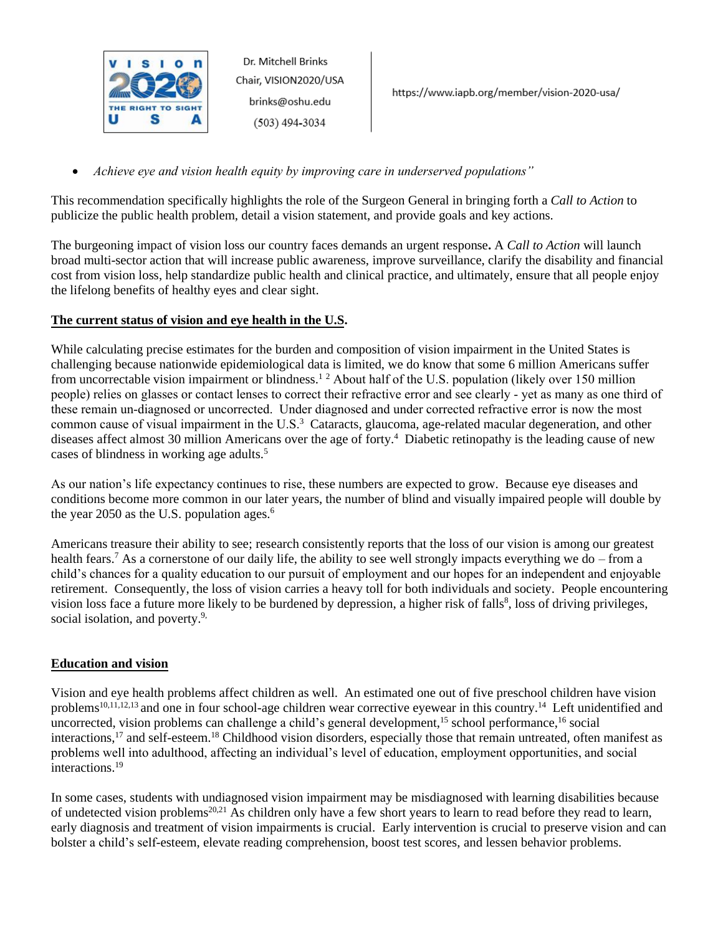

*Achieve eye and vision health equity by improving care in underserved populations"*

This recommendation specifically highlights the role of the Surgeon General in bringing forth a *Call to Action* to publicize the public health problem, detail a vision statement, and provide goals and key actions.

The burgeoning impact of vision loss our country faces demands an urgent response**.** A *Call to Action* will launch broad multi-sector action that will increase public awareness, improve surveillance, clarify the disability and financial cost from vision loss, help standardize public health and clinical practice, and ultimately, ensure that all people enjoy the lifelong benefits of healthy eyes and clear sight.

# **The current status of vision and eye health in the U.S.**

While calculating precise estimates for the burden and composition of vision impairment in the United States is challenging because nationwide epidemiological data is limited, we do know that some 6 million Americans suffer from uncorrectable vision impairment or blindness.<sup>12</sup> About half of the U.S. population (likely over 150 million people) relies on glasses or contact lenses to correct their refractive error and see clearly - yet as many as one third of these remain un-diagnosed or uncorrected. Under diagnosed and under corrected refractive error is now the most common cause of visual impairment in the U.S.<sup>3</sup> Cataracts, glaucoma, age-related macular degeneration, and other diseases affect almost 30 million Americans over the age of forty.<sup>4</sup> Diabetic retinopathy is the leading cause of new cases of blindness in working age adults.<sup>5</sup>

As our nation's life expectancy continues to rise, these numbers are expected to grow. Because eye diseases and conditions become more common in our later years, the number of blind and visually impaired people will double by the year 2050 as the U.S. population ages. $6\overline{ }$ 

Americans treasure their ability to see; research consistently reports that the loss of our vision is among our greatest health fears.<sup>7</sup> As a cornerstone of our daily life, the ability to see well strongly impacts everything we do – from a child's chances for a quality education to our pursuit of employment and our hopes for an independent and enjoyable retirement. Consequently, the loss of vision carries a heavy toll for both individuals and society. People encountering vision loss face a future more likely to be burdened by depression, a higher risk of falls<sup>8</sup>, loss of driving privileges, social isolation, and poverty.<sup>9,</sup>

# **Education and vision**

Vision and eye health problems affect children as well. An estimated one out of five preschool children have vision problems<sup>10,11,12,13</sup> and one in four school-age children wear corrective eyewear in this country.<sup>14</sup> Left unidentified and uncorrected, vision problems can challenge a child's general development, <sup>15</sup> school performance, <sup>16</sup> social interactions,<sup>17</sup> and self-esteem.<sup>18</sup> Childhood vision disorders, especially those that remain untreated, often manifest as problems well into adulthood, affecting an individual's level of education, employment opportunities, and social interactions.<sup>19</sup>

In some cases, students with undiagnosed vision impairment may be misdiagnosed with learning disabilities because of undetected vision problems20,21 As children only have a few short years to learn to read before they read to learn, early diagnosis and treatment of vision impairments is crucial. Early intervention is crucial to preserve vision and can bolster a child's self-esteem, elevate reading comprehension, boost test scores, and lessen behavior problems.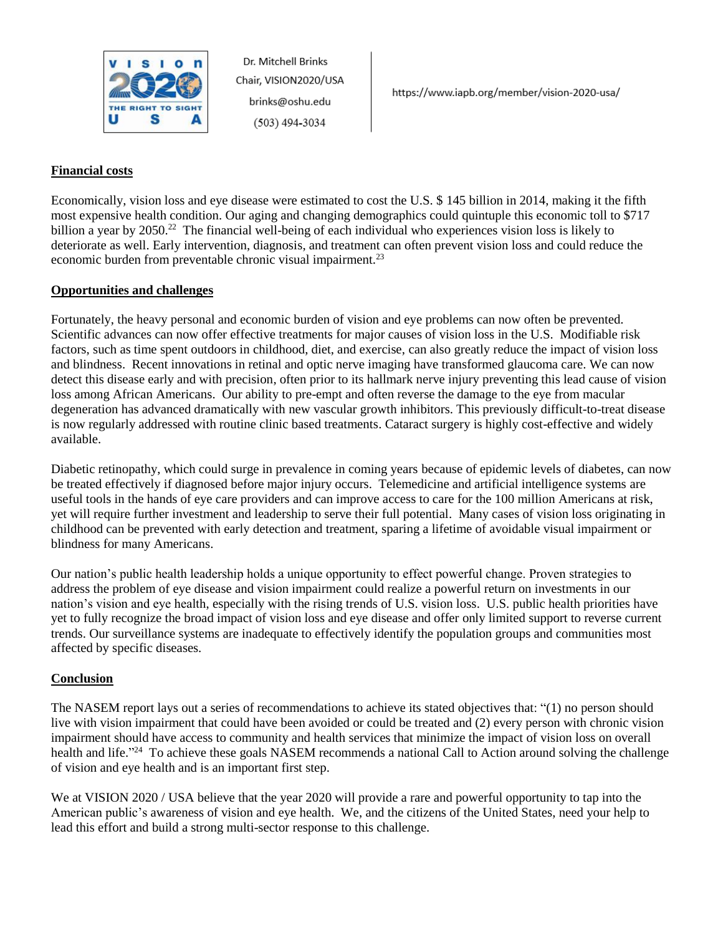

### **Financial costs**

Economically, vision loss and eye disease were estimated to cost the U.S. \$ 145 billion in 2014, making it the fifth most expensive health condition. Our aging and changing demographics could quintuple this economic toll to \$717 billion a year by 2050.<sup>22</sup> The financial well-being of each individual who experiences vision loss is likely to deteriorate as well. Early intervention, diagnosis, and treatment can often prevent vision loss and could reduce the economic burden from preventable chronic visual impairment.<sup>23</sup>

#### **Opportunities and challenges**

Fortunately, the heavy personal and economic burden of vision and eye problems can now often be prevented. Scientific advances can now offer effective treatments for major causes of vision loss in the U.S. Modifiable risk factors, such as time spent outdoors in childhood, diet, and exercise, can also greatly reduce the impact of vision loss and blindness. Recent innovations in retinal and optic nerve imaging have transformed glaucoma care. We can now detect this disease early and with precision, often prior to its hallmark nerve injury preventing this lead cause of vision loss among African Americans. Our ability to pre-empt and often reverse the damage to the eye from macular degeneration has advanced dramatically with new vascular growth inhibitors. This previously difficult-to-treat disease is now regularly addressed with routine clinic based treatments. Cataract surgery is highly cost-effective and widely available.

Diabetic retinopathy, which could surge in prevalence in coming years because of epidemic levels of diabetes, can now be treated effectively if diagnosed before major injury occurs. Telemedicine and artificial intelligence systems are useful tools in the hands of eye care providers and can improve access to care for the 100 million Americans at risk, yet will require further investment and leadership to serve their full potential. Many cases of vision loss originating in childhood can be prevented with early detection and treatment, sparing a lifetime of avoidable visual impairment or blindness for many Americans.

Our nation's public health leadership holds a unique opportunity to effect powerful change. Proven strategies to address the problem of eye disease and vision impairment could realize a powerful return on investments in our nation's vision and eye health, especially with the rising trends of U.S. vision loss. U.S. public health priorities have yet to fully recognize the broad impact of vision loss and eye disease and offer only limited support to reverse current trends. Our surveillance systems are inadequate to effectively identify the population groups and communities most affected by specific diseases.

# **Conclusion**

The NASEM report lays out a series of recommendations to achieve its stated objectives that: "(1) no person should live with vision impairment that could have been avoided or could be treated and (2) every person with chronic vision impairment should have access to community and health services that minimize the impact of vision loss on overall health and life."<sup>24</sup> To achieve these goals NASEM recommends a national Call to Action around solving the challenge of vision and eye health and is an important first step.

We at VISION 2020 / USA believe that the year 2020 will provide a rare and powerful opportunity to tap into the American public's awareness of vision and eye health. We, and the citizens of the United States, need your help to lead this effort and build a strong multi-sector response to this challenge.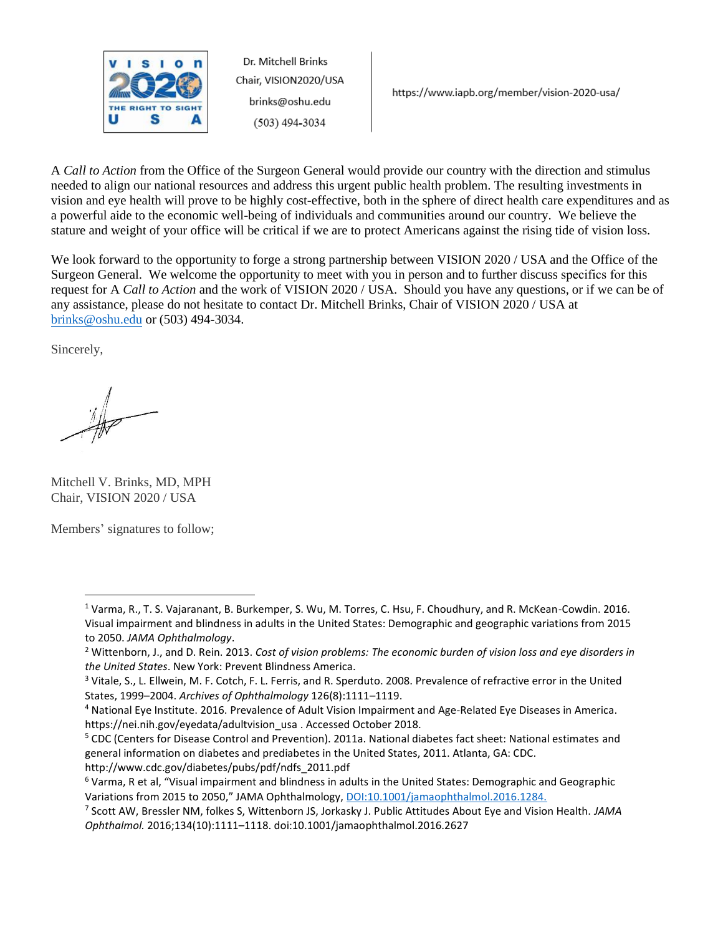

https://www.iapb.org/member/vision-2020-usa/

A *Call to Action* from the Office of the Surgeon General would provide our country with the direction and stimulus needed to align our national resources and address this urgent public health problem. The resulting investments in vision and eye health will prove to be highly cost-effective, both in the sphere of direct health care expenditures and as a powerful aide to the economic well-being of individuals and communities around our country. We believe the stature and weight of your office will be critical if we are to protect Americans against the rising tide of vision loss.

We look forward to the opportunity to forge a strong partnership between VISION 2020 / USA and the Office of the Surgeon General. We welcome the opportunity to meet with you in person and to further discuss specifics for this request for A *Call to Action* and the work of VISION 2020 / USA. Should you have any questions, or if we can be of any assistance, please do not hesitate to contact Dr. Mitchell Brinks, Chair of VISION 2020 / USA at [brinks@oshu.edu](mailto:brinks@oshu.edu) or (503) 494-3034.

Sincerely,

Mitchell V. Brinks, MD, MPH Chair, VISION 2020 / USA

Members' signatures to follow;

<sup>&</sup>lt;sup>1</sup> Varma, R., T. S. Vajaranant, B. Burkemper, S. Wu, M. Torres, C. Hsu, F. Choudhury, and R. McKean-Cowdin. 2016. Visual impairment and blindness in adults in the United States: Demographic and geographic variations from 2015 to 2050. *JAMA Ophthalmology*.

<sup>2</sup> Wittenborn, J., and D. Rein. 2013. *Cost of vision problems: The economic burden of vision loss and eye disorders in the United States*. New York: Prevent Blindness America.

<sup>&</sup>lt;sup>3</sup> Vitale, S., L. Ellwein, M. F. Cotch, F. L. Ferris, and R. Sperduto. 2008. Prevalence of refractive error in the United States, 1999–2004. *Archives of Ophthalmology* 126(8):1111–1119.

<sup>4</sup> National Eye Institute. 2016. Prevalence of Adult Vision Impairment and Age-Related Eye Diseases in America. https://nei.nih.gov/eyedata/adultvision\_usa . Accessed October 2018.

<sup>&</sup>lt;sup>5</sup> CDC (Centers for Disease Control and Prevention). 2011a. National diabetes fact sheet: National estimates and general information on diabetes and prediabetes in the United States, 2011. Atlanta, GA: CDC. http://www.cdc.gov/diabetes/pubs/pdf/ndfs\_2011.pdf

<sup>6</sup> Varma, R et al, "Visual impairment and blindness in adults in the United States: Demographic and Geographic Variations from 2015 to 2050," JAMA Ophthalmology, [DOI:10.1001/jamaophthalmol.2016.1284.](doi:10.1001/jamaophthalmol.2016.1284)

<sup>7</sup> Scott AW, Bressler NM, folkes S, Wittenborn JS, Jorkasky J. Public Attitudes About Eye and Vision Health. *JAMA Ophthalmol.* 2016;134(10):1111–1118. doi:10.1001/jamaophthalmol.2016.2627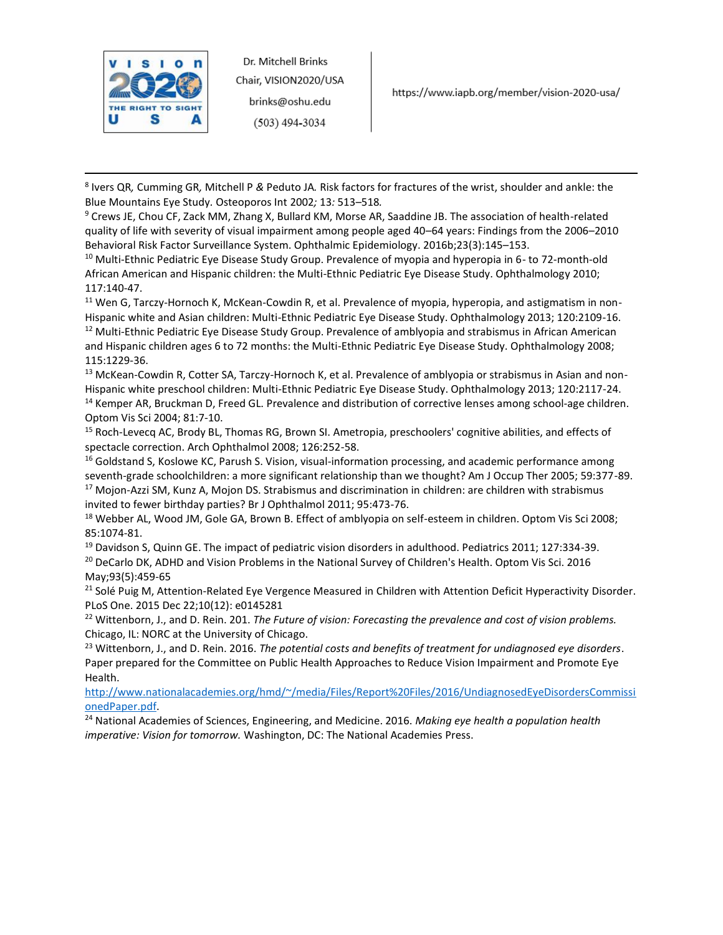

https://www.iapb.org/member/vision-2020-usa/

8 Ivers QR*,* Cumming GR*,* Mitchell P *&* Peduto JA*.* Risk factors for fractures of the wrist, shoulder and ankle: the Blue Mountains Eye Study*.* Osteoporos Int 2002*;* 13*:* 513*–*518*.*

9 Crews JE, Chou CF, Zack MM, Zhang X, Bullard KM, Morse AR, Saaddine JB. The association of health-related quality of life with severity of visual impairment among people aged 40–64 years: Findings from the 2006–2010 Behavioral Risk Factor Surveillance System. Ophthalmic Epidemiology. 2016b;23(3):145–153.

<sup>10</sup> Multi-Ethnic Pediatric Eye Disease Study Group. Prevalence of myopia and hyperopia in 6- to 72-month-old African American and Hispanic children: the Multi-Ethnic Pediatric Eye Disease Study. Ophthalmology 2010; 117:140-47.

 $11$  Wen G, Tarczy-Hornoch K, McKean-Cowdin R, et al. Prevalence of myopia, hyperopia, and astigmatism in non-Hispanic white and Asian children: Multi-Ethnic Pediatric Eye Disease Study. Ophthalmology 2013; 120:2109-16.

<sup>12</sup> Multi-Ethnic Pediatric Eye Disease Study Group. Prevalence of amblyopia and strabismus in African American and Hispanic children ages 6 to 72 months: the Multi-Ethnic Pediatric Eye Disease Study. Ophthalmology 2008; 115:1229-36.

<sup>13</sup> McKean-Cowdin R, Cotter SA, Tarczy-Hornoch K, et al. Prevalence of amblyopia or strabismus in Asian and non-Hispanic white preschool children: Multi-Ethnic Pediatric Eye Disease Study. Ophthalmology 2013; 120:2117-24.

<sup>14</sup> Kemper AR, Bruckman D, Freed GL. Prevalence and distribution of corrective lenses among school-age children. Optom Vis Sci 2004; 81:7-10.

<sup>15</sup> Roch-Levecq AC, Brody BL, Thomas RG, Brown SI. Ametropia, preschoolers' cognitive abilities, and effects of spectacle correction. Arch Ophthalmol 2008; 126:252-58.

<sup>16</sup> Goldstand S, Koslowe KC, Parush S. Vision, visual-information processing, and academic performance among seventh-grade schoolchildren: a more significant relationship than we thought? Am J Occup Ther 2005; 59:377-89. <sup>17</sup> Mojon-Azzi SM, Kunz A, Mojon DS. Strabismus and discrimination in children: are children with strabismus invited to fewer birthday parties? Br J Ophthalmol 2011; 95:473-76.

<sup>18</sup> Webber AL, Wood JM, Gole GA, Brown B. Effect of amblyopia on self-esteem in children. Optom Vis Sci 2008; 85:1074-81.

<sup>19</sup> Davidson S, Quinn GE. The impact of pediatric vision disorders in adulthood. Pediatrics 2011; 127:334-39.

<sup>20</sup> DeCarlo DK, ADHD and Vision Problems in the National Survey of Children's Health. Optom Vis Sci. 2016 May;93(5):459-65

<sup>21</sup> Solé Puig M, Attention-Related Eye Vergence Measured in Children with Attention Deficit Hyperactivity Disorder. PLoS One. 2015 Dec 22;10(12): e0145281

<sup>22</sup> Wittenborn, J., and D. Rein. 201. *The Future of vision: Forecasting the prevalence and cost of vision problems.* Chicago, IL: NORC at the University of Chicago.

<sup>23</sup> Wittenborn, J., and D. Rein. 2016. *The potential costs and benefits of treatment for undiagnosed eye disorders*. Paper prepared for the Committee on Public Health Approaches to Reduce Vision Impairment and Promote Eye Health.

[http://www.nationalacademies.org/hmd/~/media/Files/Report%20Files/2016/UndiagnosedEyeDisordersCommissi](http://www.nationalacademies.org/hmd/~/media/Files/Report%20Files/2016/UndiagnosedEyeDisordersCommissionedPaper.pdf) [onedPaper.pdf.](http://www.nationalacademies.org/hmd/~/media/Files/Report%20Files/2016/UndiagnosedEyeDisordersCommissionedPaper.pdf)

<sup>24</sup> National Academies of Sciences, Engineering, and Medicine. 2016. *Making eye health a population health imperative: Vision for tomorrow.* Washington, DC: The National Academies Press.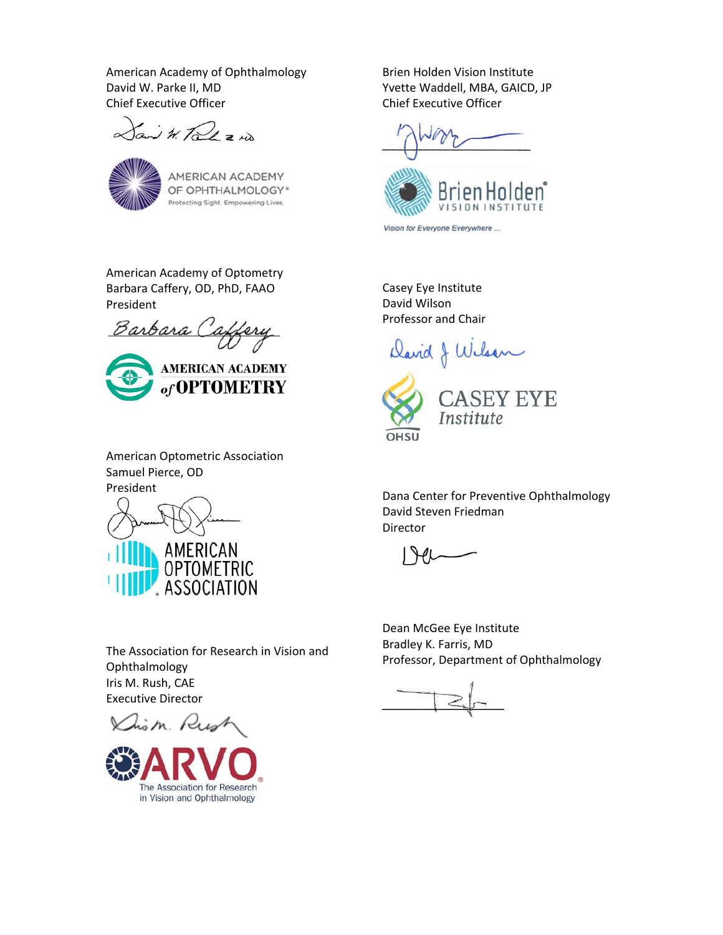American Academy of Ophthalmology David W. Parke II, MD Chief Executive Officer

Your W. Talk a no



AMERICAN ACADEMY OF OPHTHALMOLOGY\* Protecting Sight. Empowering Lives.

American Academy of Optometry Barbara Caffery, OD, PhD, FAAO President

<u> Barbara (</u>



American Optometric Association Samuel Pierce, OD President



Brien Holden Vision Institute Yvette Waddell, MBA, GAICD, JP Chief Executive Officer



Vision for Everyone Everywhere ...

Casey Eye Institute David Wilson Professor and Chair

David J Wilson



Dana Center for Preventive Ophthalmology David Steven Friedman Director

Dean McGee Eye Institute Bradley K. Farris, MD Professor, Department of Ophthalmology

The Association for Research in Vision and Ophthalmology Iris M. Rush, CAE Executive Director

m. Rust

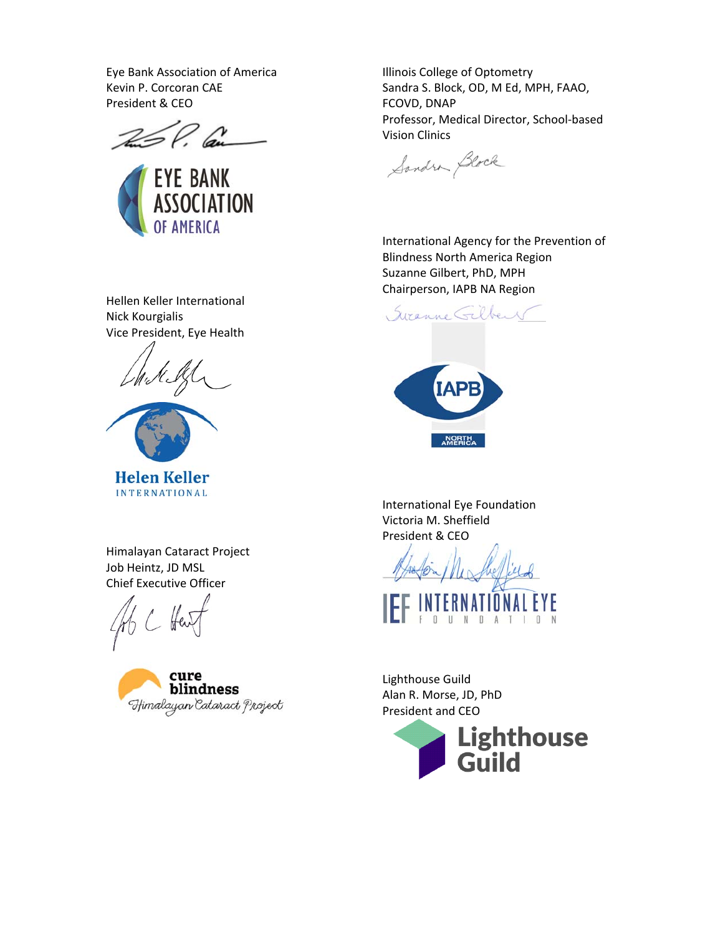Eye Bank Association of America Kevin P. Corcoran CAE President & CEO

 $260$  and



Illinois College of Optometry Sandra S. Block, OD, M Ed, MPH, FAAO, FCOVD, DNAP Professor, Medical Director, School‐based Vision Clinics

Sandra Block

International Agency for the Prevention of Blindness North America Region Suzanne Gilbert, PhD, MPH Chairperson, IAPB NA Region

Syranne Gilbert



International Eye Foundation Victoria M. Sheffield President & CEO

UNDATI

Lighthouse Guild Alan R. Morse, JD, PhD President and CEO



Hellen Keller International Nick Kourgialis Vice President, Eye Health





**Helen Keller INTERNATIONAL** 

Himalayan Cataract Project Job Heintz, JD MSL Chief Executive Officer

 $H<sub>ext</sub>$ 

blindness Himalayan Cataract Project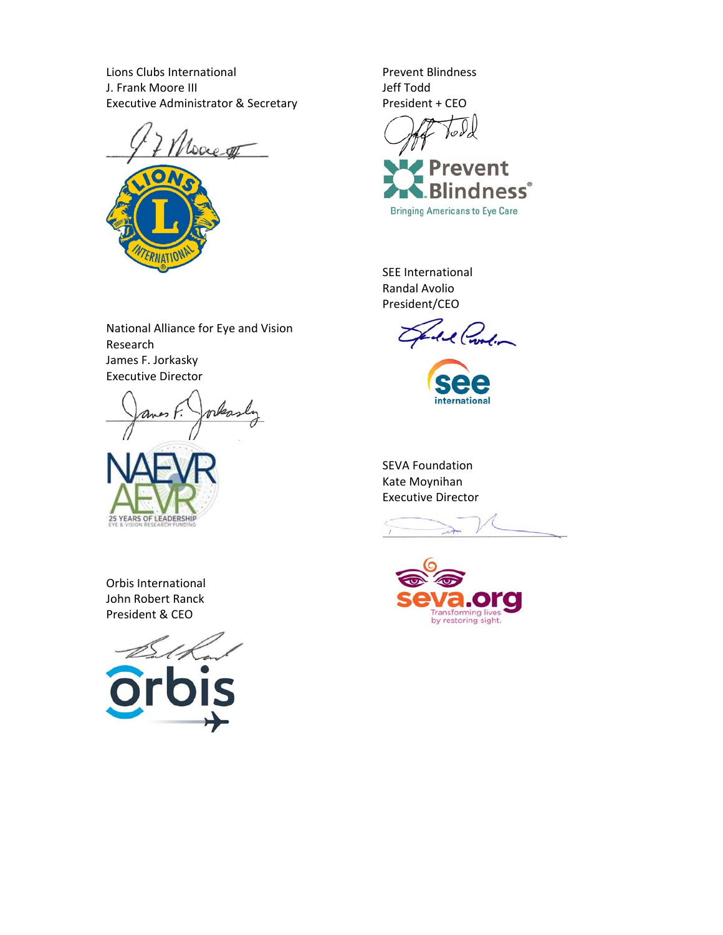Lions Clubs International J. Frank Moore III Executive Administrator & Secretary



National Alliance for Eye and Vision

orkas

Research

James F. Jorkasky Executive Director

Prevent Blindness Jeff Todd President + CEO

Prevent ndness®

**Bringing Americans to Eye Care** 

SEE International Randal Avolio President/CEO

Al Croolin Z

international

SEVA Foundation Kate Moynihan Executive Director



Orbis International John Robert Ranck President & CEO

25 YEARS OF LEADERSHIP